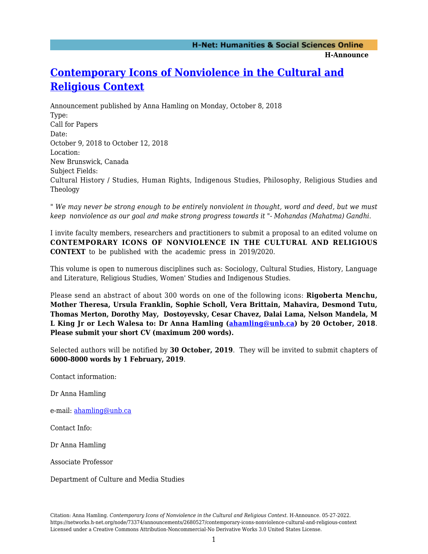## **[Contemporary Icons of Nonviolence in the Cultural and](https://networks.h-net.org/node/73374/announcements/2680527/contemporary-icons-nonviolence-cultural-and-religious-context) [Religious Context](https://networks.h-net.org/node/73374/announcements/2680527/contemporary-icons-nonviolence-cultural-and-religious-context)**

Announcement published by Anna Hamling on Monday, October 8, 2018 Type: Call for Papers Date: October 9, 2018 to October 12, 2018 Location: New Brunswick, Canada Subject Fields: Cultural History / Studies, Human Rights, Indigenous Studies, Philosophy, Religious Studies and Theology

" *We may never be strong enough to be entirely nonviolent in thought, word and deed, but we must keep nonviolence as our goal and make strong progress towards it "- Mohandas (Mahatma) Gandhi*.

I invite faculty members, researchers and practitioners to submit a proposal to an edited volume on **CONTEMPORARY ICONS OF NONVIOLENCE IN THE CULTURAL AND RELIGIOUS CONTEXT** to be published with the academic press in 2019/2020.

This volume is open to numerous disciplines such as: Sociology, Cultural Studies, History, Language and Literature, Religious Studies, Women' Studies and Indigenous Studies.

Please send an abstract of about 300 words on one of the following icons: **Rigoberta Menchu, Mother Theresa, Ursula Franklin, Sophie Scholl, Vera Brittain, Mahavira, Desmond Tutu, Thomas Merton, Dorothy May, Dostoyevsky, Cesar Chavez, Dalai Lama, Nelson Mandela, M L King Jr or Lech Walesa to: Dr Anna Hamling ([ahamling@unb.ca](mailto:ahamling@unb.ca)) by 20 October, 2018**. **Please submit your short CV (maximum 200 words).**

Selected authors will be notified by **30 October, 2019**. They will be invited to submit chapters of **6000-8000 words by 1 February, 2019**.

Contact information:

Dr Anna Hamling

e-mail: [ahamling@unb.ca](mailto:ahamling@unb.ca)

Contact Info:

Dr Anna Hamling

Associate Professor

Department of Culture and Media Studies